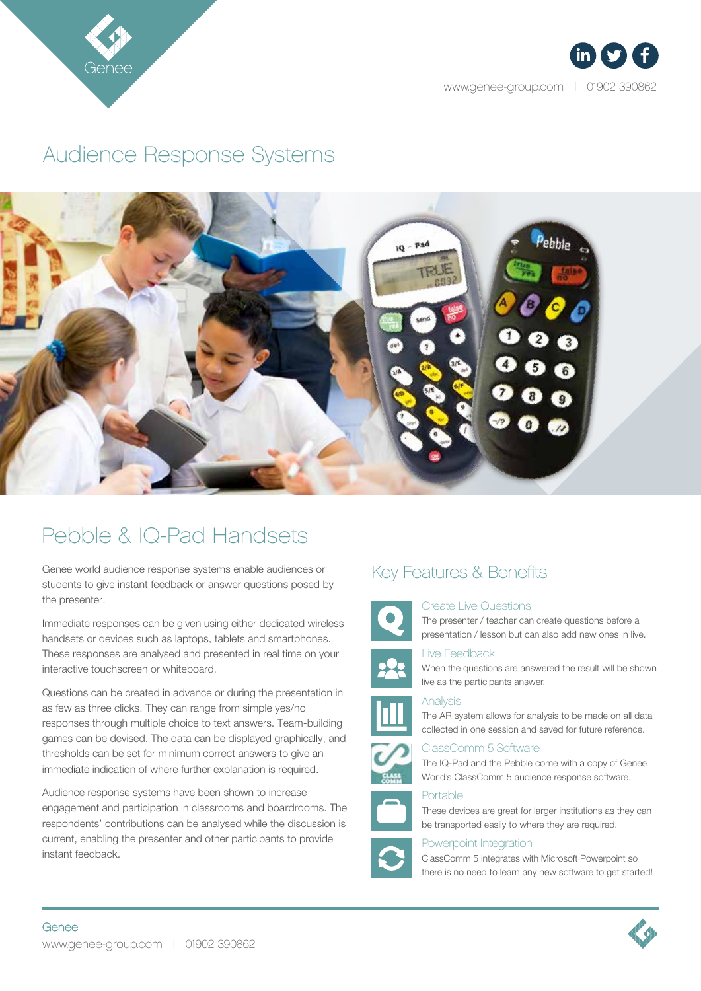

 $in$   $(y)$  (f

www.genee-group.com | 01902 390862

## Audience Response Systems



# Pebble & IQ-Pad Handsets

Genee world audience response systems enable audiences or students to give instant feedback or answer questions posed by the presenter.

Immediate responses can be given using either dedicated wireless handsets or devices such as laptops, tablets and smartphones. These responses are analysed and presented in real time on your interactive touchscreen or whiteboard.

Questions can be created in advance or during the presentation in as few as three clicks. They can range from simple yes/no responses through multiple choice to text answers. Team-building games can be devised. The data can be displayed graphically, and thresholds can be set for minimum correct answers to give an immediate indication of where further explanation is required.

Audience response systems have been shown to increase engagement and participation in classrooms and boardrooms. The respondents' contributions can be analysed while the discussion is current, enabling the presenter and other participants to provide instant feedback.

### Key Features & Benefits



#### Create Live Questions

The presenter / teacher can create questions before a presentation / lesson but can also add new ones in live.



#### Live Feedback

When the questions are answered the result will be shown live as the participants answer.

Analysis





ClassComm 5 Software The IQ-Pad and the Pebble come with a copy of Genee World's ClassComm 5 audience response software.

#### Portable

These devices are great for larger institutions as they can be transported easily to where they are required.

### Powerpoint Integration

ClassComm 5 integrates with Microsoft Powerpoint so there is no need to learn any new software to get started!